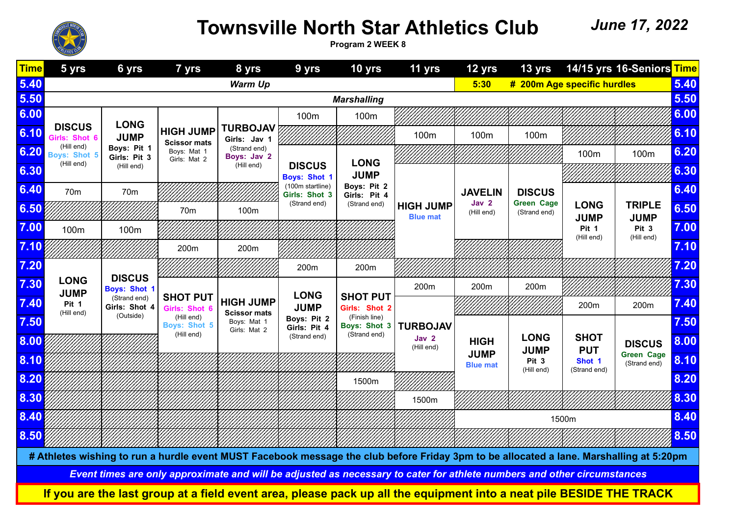

## **Townsville North Star Athletics Club**

 *June 17, 2022*

**Program 2 WEEK 8**

|                                                                                                                         | $\frac{1}{2}$ $\frac{1}{2}$                           |                                            |                                                 |                                         |                                      |                                                      |                                                                                                                                         |                            |                                   |                            |                                   |      |
|-------------------------------------------------------------------------------------------------------------------------|-------------------------------------------------------|--------------------------------------------|-------------------------------------------------|-----------------------------------------|--------------------------------------|------------------------------------------------------|-----------------------------------------------------------------------------------------------------------------------------------------|----------------------------|-----------------------------------|----------------------------|-----------------------------------|------|
| <b>Time</b>                                                                                                             | 5 yrs                                                 | 6 yrs                                      | 7 yrs                                           | 8 yrs                                   | 9 yrs                                | 10 yrs                                               | 11 yrs                                                                                                                                  | 12 yrs                     | 13 yrs                            |                            | 14/15 yrs 16-Seniors Time         |      |
| 5.40                                                                                                                    | <b>Warm Up</b><br>5:30<br># 200m Age specific hurdles |                                            |                                                 |                                         |                                      |                                                      |                                                                                                                                         |                            |                                   |                            |                                   | 5.40 |
| 5.50                                                                                                                    | <b>Marshalling</b>                                    |                                            |                                                 |                                         |                                      |                                                      |                                                                                                                                         |                            |                                   |                            |                                   | 5.50 |
| 6.00                                                                                                                    |                                                       | <b>LONG</b>                                |                                                 |                                         | 100m                                 | 100m                                                 |                                                                                                                                         |                            |                                   |                            |                                   | 6.00 |
| 6.10                                                                                                                    | <b>DISCUS</b><br>Girls: Shot 6                        | <b>JUMP</b>                                | <b>HIGH JUMP</b><br><b>Scissor mats</b>         | <b>TURBOJAV</b><br>Girls: Jav 1         |                                      |                                                      | 100m                                                                                                                                    | 100m                       | 100m                              |                            |                                   | 6.10 |
| 6.20                                                                                                                    | (Hill end)<br><b>Boys: Shot 5</b>                     | Boys: Pit 1<br>Girls: Pit 3                | Boys: Mat 1<br>Girls: Mat 2                     | (Strand end)<br>Boys: Jav 2             |                                      | <b>LONG</b>                                          |                                                                                                                                         |                            |                                   | 100m                       | 100m                              | 6.20 |
| 6.30                                                                                                                    | (Hill end)                                            | (Hill end)                                 |                                                 | (Hill end)                              | <b>DISCUS</b><br><b>Boys: Shot 1</b> | <b>JUMP</b>                                          |                                                                                                                                         |                            |                                   |                            |                                   | 6.30 |
| 6.40                                                                                                                    | 70 <sub>m</sub>                                       | 70m                                        |                                                 |                                         | (100m startline)<br>Girls: Shot 3    | Boys: Pit 2<br>Girls: Pit 4                          |                                                                                                                                         | <b>JAVELIN</b>             | <b>DISCUS</b>                     |                            |                                   | 6.40 |
| 6.50                                                                                                                    |                                                       |                                            | 70m                                             | 100m                                    | (Strand end)                         | (Strand end)                                         | <b>HIGH JUMP</b><br><b>Blue mat</b>                                                                                                     | Jav 2<br>(Hill end)        | <b>Green Cage</b><br>(Strand end) | <b>LONG</b><br><b>JUMP</b> | <b>TRIPLE</b><br><b>JUMP</b>      | 6.50 |
| 7.00                                                                                                                    | 100m                                                  | 100m                                       |                                                 |                                         |                                      |                                                      |                                                                                                                                         |                            |                                   | Pit 1<br>(Hill end)        | Pit <sub>3</sub><br>(Hill end)    | 7.00 |
| 7.10                                                                                                                    |                                                       |                                            | 200m                                            | 200m                                    |                                      |                                                      |                                                                                                                                         |                            |                                   |                            |                                   | 7.10 |
| 7.20                                                                                                                    |                                                       | <b>DISCUS</b>                              |                                                 |                                         | 200m                                 | 200m                                                 |                                                                                                                                         |                            |                                   |                            |                                   | 7.20 |
| 7.30                                                                                                                    | <b>LONG</b><br><b>JUMP</b>                            | <b>Boys: Shot 1</b>                        |                                                 |                                         | <b>LONG</b>                          | <b>SHOT PUT</b>                                      | 200m                                                                                                                                    | 200m                       | 200m                              |                            |                                   | 7.30 |
| 7.40                                                                                                                    | Pit 1<br>(Hill end)                                   | (Strand end)<br>Girls: Shot 4<br>(Outside) | <b>SHOT PUT</b><br>Girls: Shot 6                | <b>HIGH JUMP</b><br><b>Scissor mats</b> | <b>JUMP</b>                          | Girls: Shot 2                                        |                                                                                                                                         |                            |                                   | 200m                       | 200m                              | 7.40 |
| 7.50                                                                                                                    |                                                       |                                            | (Hill end)<br><b>Boys: Shot 5</b><br>(Hill end) | Boys: Mat 1<br>Girls: Mat 2             | Boys: Pit 2<br>Girls: Pit 4          | (Finish line)<br><b>Boys: Shot 3</b><br>(Strand end) | <b>TURBOJAV</b>                                                                                                                         |                            |                                   |                            |                                   | 7.50 |
| 8.00                                                                                                                    |                                                       |                                            |                                                 |                                         | (Strand end)                         |                                                      | Jav 2<br>(Hill end)                                                                                                                     | <b>HIGH</b><br><b>JUMP</b> | <b>LONG</b><br><b>JUMP</b>        | <b>SHOT</b><br><b>PUT</b>  | <b>DISCUS</b>                     | 8.00 |
| 8.10                                                                                                                    |                                                       |                                            |                                                 |                                         |                                      |                                                      |                                                                                                                                         | <b>Blue mat</b>            | Pit 3<br>(Hill end)               | Shot 1<br>(Strand end)     | <b>Green Cage</b><br>(Strand end) | 8.10 |
| 8.20                                                                                                                    |                                                       |                                            |                                                 |                                         |                                      | 1500m                                                |                                                                                                                                         |                            |                                   |                            |                                   | 8.20 |
| 8.30                                                                                                                    |                                                       |                                            |                                                 |                                         |                                      |                                                      | 1500m                                                                                                                                   |                            |                                   |                            |                                   | 8.30 |
| 8.40                                                                                                                    |                                                       |                                            |                                                 |                                         |                                      |                                                      |                                                                                                                                         |                            | 8.40<br>1500m                     |                            |                                   |      |
| 8.50                                                                                                                    |                                                       |                                            |                                                 |                                         |                                      |                                                      |                                                                                                                                         |                            |                                   |                            |                                   | 8.50 |
|                                                                                                                         |                                                       |                                            |                                                 |                                         |                                      |                                                      | # Athletes wishing to run a hurdle event MUST Facebook message the club before Friday 3pm to be allocated a lane. Marshalling at 5:20pm |                            |                                   |                            |                                   |      |
| Event times are only approximate and will be adjusted as necessary to cater for athlete numbers and other circumstances |                                                       |                                            |                                                 |                                         |                                      |                                                      |                                                                                                                                         |                            |                                   |                            |                                   |      |
|                                                                                                                         |                                                       |                                            |                                                 |                                         |                                      |                                                      | If you are the last group at a field event area, please pack up all the equipment into a neat pile BESIDE THE TRACK                     |                            |                                   |                            |                                   |      |